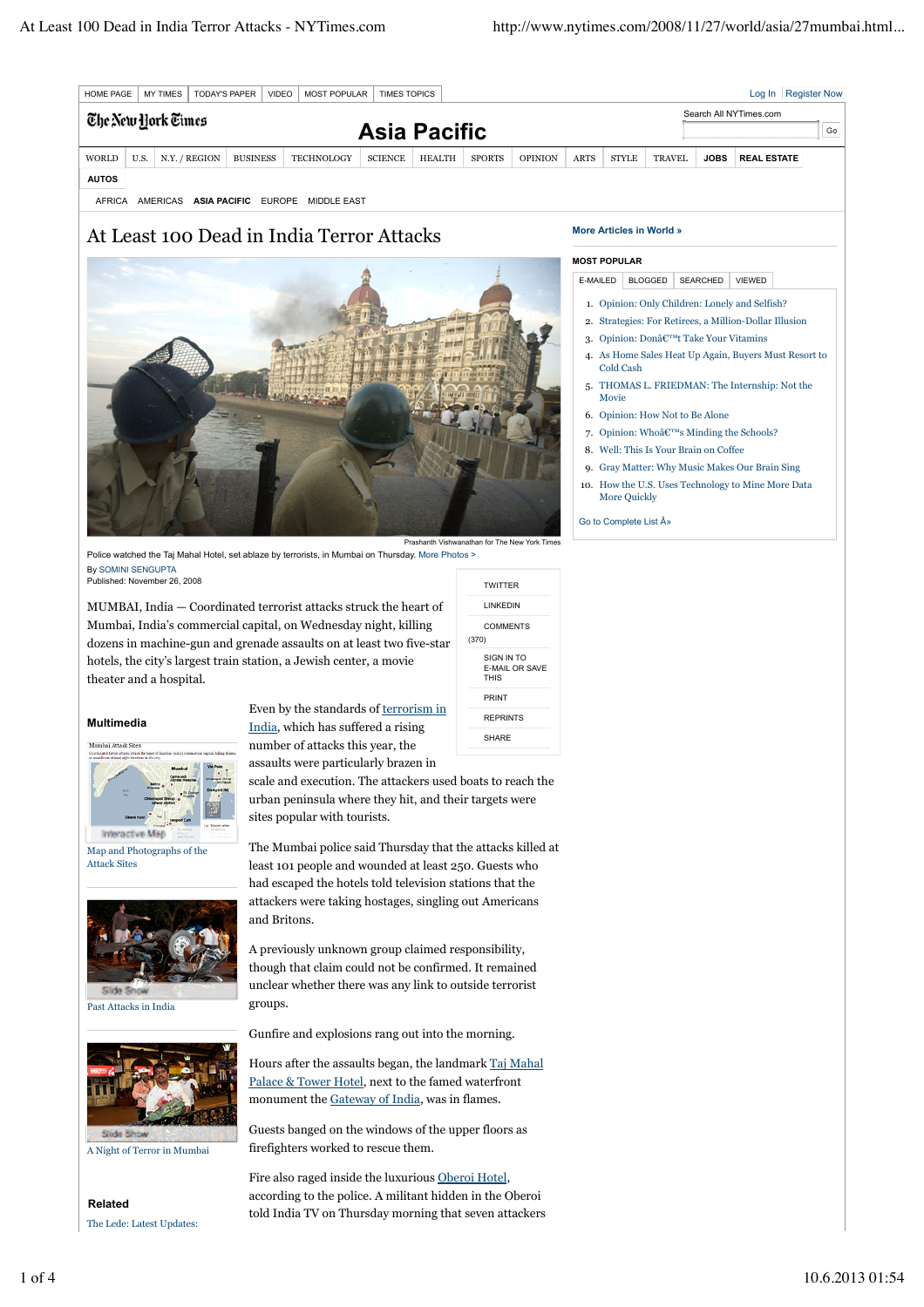| <b>MY TIMES</b><br><b>TODAY'S PAPER</b><br><b>MOST POPULAR</b><br><b>VIDEO</b><br><b>TIMES TOPICS</b><br><b>HOME PAGE</b> |      |                    |  |                 |            |                |               |                        |                |             |              |               |             | Log In   Register Now |    |
|---------------------------------------------------------------------------------------------------------------------------|------|--------------------|--|-----------------|------------|----------------|---------------|------------------------|----------------|-------------|--------------|---------------|-------------|-----------------------|----|
|                                                                                                                           |      | The New York Times |  |                 |            |                |               | Search All NYTimes.com |                |             |              |               |             |                       |    |
|                                                                                                                           |      |                    |  |                 |            |                |               | <b>Asia Pacific</b>    |                |             |              |               |             |                       | Go |
| WORLD                                                                                                                     | U.S. | N.Y. / REGION      |  | <b>BUSINESS</b> | TECHNOLOGY | <b>SCIENCE</b> | <b>HEALTH</b> | <b>SPORTS</b>          | <b>OPINION</b> | <b>ARTS</b> | <b>STYLE</b> | <b>TRAVEL</b> | <b>JOBS</b> | <b>REAL ESTATE</b>    |    |
| <b>AUTOS</b>                                                                                                              |      |                    |  |                 |            |                |               |                        |                |             |              |               |             |                       |    |

AFRICA AMERICAS **ASIA PACIFIC** EUROPE MIDDLE EAST

## At Least 100 Dead in India Terror Attacks



Police watched the Taj Mahal Hotel, set ablaze by terrorists, in Mumbai on Thursday. More Photos > By SOMINI SENGUPTA Published: November 26, 2008

MUMBAI, India — Coordinated terrorist attacks struck the heart of Mumbai, India's commercial capital, on Wednesday night, killing dozens in machine-gun and grenade assaults on at least two five-star hotels, the city's largest train station, a Jewish center, a movie theater and a hospital.

## **Multimedia**



Map and Photographs of the Attack Sites



Past Attacks in India



A Night of Terror in Mumbai

**Related** The Lede: Latest Updates:

Even by the standards of terrorism in India, which has suffered a rising number of attacks this year, the assaults were particularly brazen in

scale and execution. The attackers used boats to reach the urban peninsula where they hit, and their targets were sites popular with tourists.

The Mumbai police said Thursday that the attacks killed at least 101 people and wounded at least 250. Guests who had escaped the hotels told television stations that the attackers were taking hostages, singling out Americans and Britons.

A previously unknown group claimed responsibility, though that claim could not be confirmed. It remained unclear whether there was any link to outside terrorist groups.

Gunfire and explosions rang out into the morning.

Hours after the assaults began, the landmark Taj Mahal Palace & Tower Hotel, next to the famed waterfront monument the Gateway of India, was in flames.

Guests banged on the windows of the upper floors as firefighters worked to rescue them.

Fire also raged inside the luxurious Oberoi Hotel, according to the police. A militant hidden in the Oberoi told India TV on Thursday morning that seven attackers

## **More Articles in World »**

## **MOST POPULAR**

E-MAILED BLOGGED SEARCHED VIEWED

- 1. Opinion: Only Children: Lonely and Selfish?
- 2. Strategies: For Retirees, a Million-Dollar Illusion
- 3. Opinion: Donâ€™t Take Your Vitamins
- As Home Sales Heat Up Again, Buyers Must Resort to 4. Cold Cash
- 5. THOMAS L. FRIEDMAN: The Internship: Not the Movie
- 6. Opinion: How Not to Be Alone
- 7. Opinion: Whoâ€™s Minding the Schools?
- 8. Well: This Is Your Brain on Coffee
- 9. Gray Matter: Why Music Makes Our Brain Sing
- 10. How the U.S. Uses Technology to Mine More Data More Quickly

Go to Complete List  $\hat{A}$ »

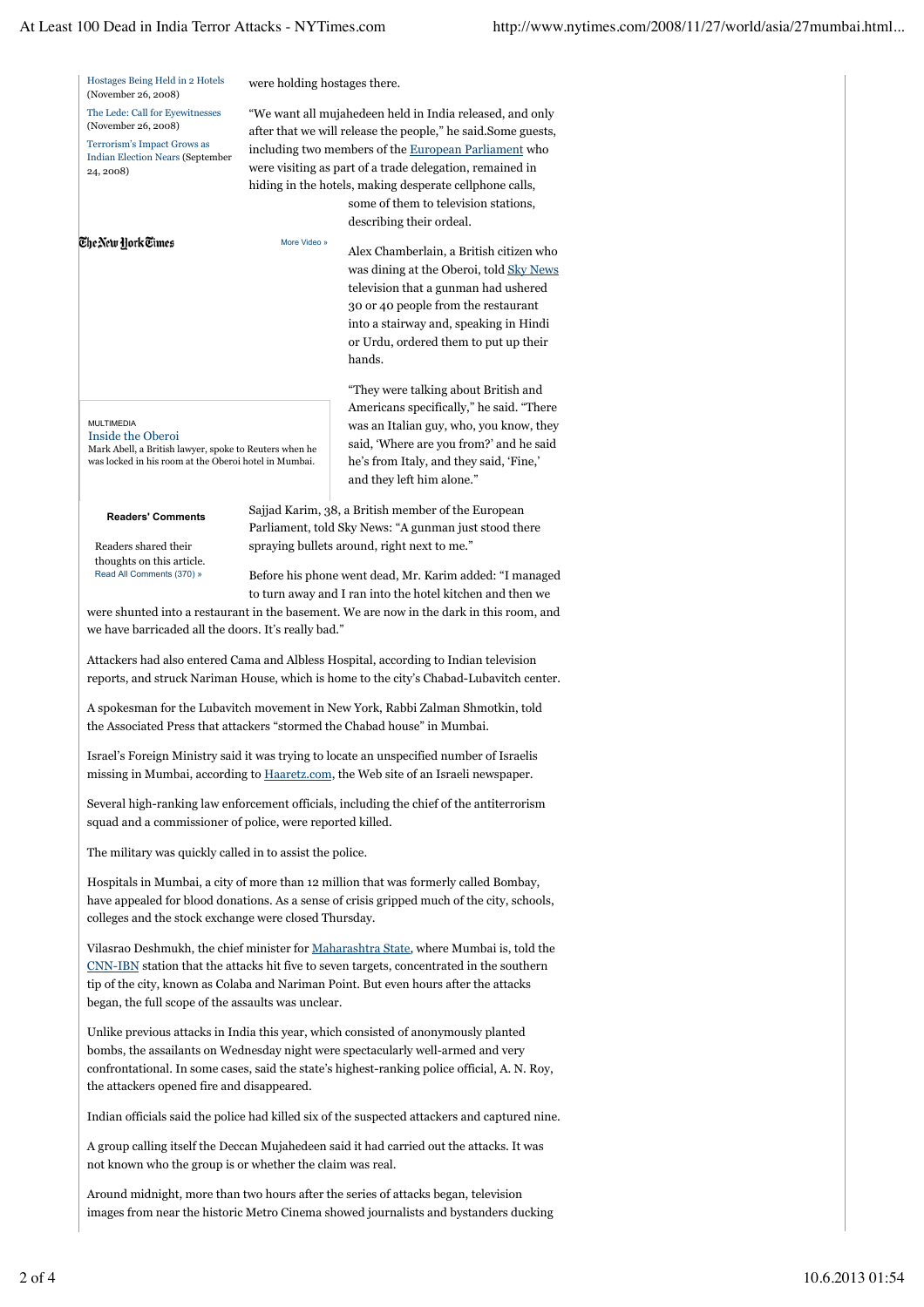| Hostages Being Held in 2 Hotels<br>(November 26, 2008)                                                                                                                                                       | were holding hostages there.                                                                                                                                                                                                                                                                                                                                                 |                                                                                                                                                                                                                                                                |  |  |  |  |  |  |
|--------------------------------------------------------------------------------------------------------------------------------------------------------------------------------------------------------------|------------------------------------------------------------------------------------------------------------------------------------------------------------------------------------------------------------------------------------------------------------------------------------------------------------------------------------------------------------------------------|----------------------------------------------------------------------------------------------------------------------------------------------------------------------------------------------------------------------------------------------------------------|--|--|--|--|--|--|
| The Lede: Call for Eyewitnesses<br>(November 26, 2008)<br>Terrorism's Impact Grows as<br><b>Indian Election Nears (September</b><br>24, 2008)                                                                | "We want all mujahedeen held in India released, and only<br>after that we will release the people," he said. Some guests,<br>including two members of the European Parliament who<br>were visiting as part of a trade delegation, remained in<br>hiding in the hotels, making desperate cellphone calls,<br>some of them to television stations,<br>describing their ordeal. |                                                                                                                                                                                                                                                                |  |  |  |  |  |  |
| The New York Times                                                                                                                                                                                           | More Video »                                                                                                                                                                                                                                                                                                                                                                 | Alex Chamberlain, a British citizen who<br>was dining at the Oberoi, told Sky News<br>television that a gunman had ushered<br>30 or 40 people from the restaurant<br>into a stairway and, speaking in Hindi<br>or Urdu, ordered them to put up their<br>hands. |  |  |  |  |  |  |
| <b>MULTIMEDIA</b><br>Inside the Oberoi<br>Mark Abell, a British lawyer, spoke to Reuters when he<br>was locked in his room at the Oberoi hotel in Mumbai.                                                    |                                                                                                                                                                                                                                                                                                                                                                              | "They were talking about British and<br>Americans specifically," he said. "There<br>was an Italian guy, who, you know, they<br>said, 'Where are you from?' and he said<br>he's from Italy, and they said, 'Fine,'<br>and they left him alone."                 |  |  |  |  |  |  |
| <b>Readers' Comments</b><br>Readers shared their<br>thoughts on this article.<br>Read All Comments (370) »                                                                                                   |                                                                                                                                                                                                                                                                                                                                                                              | Sajjad Karim, 38, a British member of the European<br>Parliament, told Sky News: "A gunman just stood there<br>spraying bullets around, right next to me."<br>Before his phone went dead, Mr. Karim added: "I managed                                          |  |  |  |  |  |  |
| to turn away and I ran into the hotel kitchen and then we<br>were shunted into a restaurant in the basement. We are now in the dark in this room, and<br>we have barricaded all the doors. It's really bad." |                                                                                                                                                                                                                                                                                                                                                                              |                                                                                                                                                                                                                                                                |  |  |  |  |  |  |
| Attackers had also entered Cama and Albless Hospital, according to Indian television<br>reports, and struck Nariman House, which is home to the city's Chabad-Lubavitch center.                              |                                                                                                                                                                                                                                                                                                                                                                              |                                                                                                                                                                                                                                                                |  |  |  |  |  |  |
| A spokesman for the Lubavitch movement in New York, Rabbi Zalman Shmotkin, told<br>the Associated Press that attackers "stormed the Chabad house" in Mumbai.                                                 |                                                                                                                                                                                                                                                                                                                                                                              |                                                                                                                                                                                                                                                                |  |  |  |  |  |  |
|                                                                                                                                                                                                              | Israel's Foreign Ministry said it was trying to locate an unspecified number of Israelis<br>missing in Mumbai, according to Haaretz.com, the Web site of an Israeli newspaper.                                                                                                                                                                                               |                                                                                                                                                                                                                                                                |  |  |  |  |  |  |
|                                                                                                                                                                                                              | Several high-ranking law enforcement officials, including the chief of the antiterrorism<br>squad and a commissioner of police, were reported killed.                                                                                                                                                                                                                        |                                                                                                                                                                                                                                                                |  |  |  |  |  |  |
|                                                                                                                                                                                                              | The military was quickly called in to assist the police.                                                                                                                                                                                                                                                                                                                     |                                                                                                                                                                                                                                                                |  |  |  |  |  |  |
| colleges and the stock exchange were closed Thursday.                                                                                                                                                        |                                                                                                                                                                                                                                                                                                                                                                              | Hospitals in Mumbai, a city of more than 12 million that was formerly called Bombay,<br>have appealed for blood donations. As a sense of crisis gripped much of the city, schools,                                                                             |  |  |  |  |  |  |
|                                                                                                                                                                                                              | Vilasrao Deshmukh, the chief minister for Maharashtra State, where Mumbai is, told the<br>CNN-IBN station that the attacks hit five to seven targets, concentrated in the southern<br>tip of the city, known as Colaba and Nariman Point. But even hours after the attacks<br>began, the full scope of the assaults was unclear.                                             |                                                                                                                                                                                                                                                                |  |  |  |  |  |  |
|                                                                                                                                                                                                              | Unlike previous attacks in India this year, which consisted of anonymously planted<br>bombs, the assailants on Wednesday night were spectacularly well-armed and very<br>confrontational. In some cases, said the state's highest-ranking police official, A. N. Roy,<br>the attackers opened fire and disappeared.                                                          |                                                                                                                                                                                                                                                                |  |  |  |  |  |  |
|                                                                                                                                                                                                              | Indian officials said the police had killed six of the suspected attackers and captured nine.                                                                                                                                                                                                                                                                                |                                                                                                                                                                                                                                                                |  |  |  |  |  |  |
|                                                                                                                                                                                                              | A group calling itself the Deccan Mujahedeen said it had carried out the attacks. It was<br>not known who the group is or whether the claim was real.                                                                                                                                                                                                                        |                                                                                                                                                                                                                                                                |  |  |  |  |  |  |
|                                                                                                                                                                                                              | Around midnight, more than two hours after the series of attacks began, television<br>images from near the historic Metro Cinema showed journalists and bystanders ducking                                                                                                                                                                                                   |                                                                                                                                                                                                                                                                |  |  |  |  |  |  |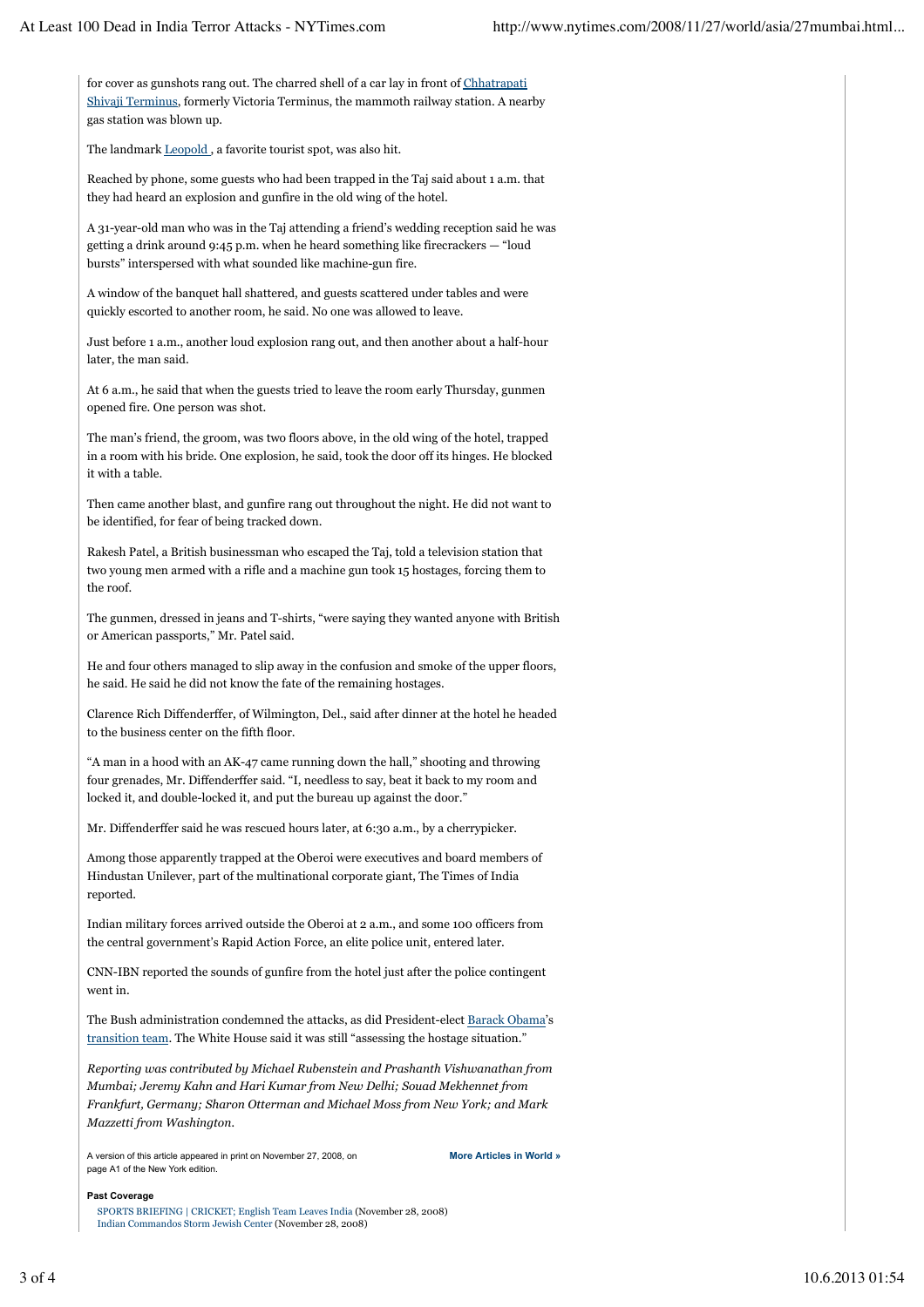for cover as gunshots rang out. The charred shell of a car lay in front of Chhatrapati Shivaji Terminus, formerly Victoria Terminus, the mammoth railway station. A nearby gas station was blown up.

The landmark Leopold , a favorite tourist spot, was also hit.

Reached by phone, some guests who had been trapped in the Taj said about 1 a.m. that they had heard an explosion and gunfire in the old wing of the hotel.

A 31-year-old man who was in the Taj attending a friend's wedding reception said he was getting a drink around 9:45 p.m. when he heard something like firecrackers — "loud bursts" interspersed with what sounded like machine-gun fire.

A window of the banquet hall shattered, and guests scattered under tables and were quickly escorted to another room, he said. No one was allowed to leave.

Just before 1 a.m., another loud explosion rang out, and then another about a half-hour later, the man said.

At 6 a.m., he said that when the guests tried to leave the room early Thursday, gunmen opened fire. One person was shot.

The man's friend, the groom, was two floors above, in the old wing of the hotel, trapped in a room with his bride. One explosion, he said, took the door off its hinges. He blocked it with a table.

Then came another blast, and gunfire rang out throughout the night. He did not want to be identified, for fear of being tracked down.

Rakesh Patel, a British businessman who escaped the Taj, told a television station that two young men armed with a rifle and a machine gun took 15 hostages, forcing them to the roof.

The gunmen, dressed in jeans and T-shirts, "were saying they wanted anyone with British or American passports," Mr. Patel said.

He and four others managed to slip away in the confusion and smoke of the upper floors, he said. He said he did not know the fate of the remaining hostages.

Clarence Rich Diffenderffer, of Wilmington, Del., said after dinner at the hotel he headed to the business center on the fifth floor.

"A man in a hood with an AK-47 came running down the hall," shooting and throwing four grenades, Mr. Diffenderffer said. "I, needless to say, beat it back to my room and locked it, and double-locked it, and put the bureau up against the door."

Mr. Diffenderffer said he was rescued hours later, at 6:30 a.m., by a cherrypicker.

Among those apparently trapped at the Oberoi were executives and board members of Hindustan Unilever, part of the multinational corporate giant, The Times of India reported.

Indian military forces arrived outside the Oberoi at 2 a.m., and some 100 officers from the central government's Rapid Action Force, an elite police unit, entered later.

CNN-IBN reported the sounds of gunfire from the hotel just after the police contingent went in.

The Bush administration condemned the attacks, as did President-elect Barack Obama's transition team. The White House said it was still "assessing the hostage situation."

*Reporting was contributed by Michael Rubenstein and Prashanth Vishwanathan from Mumbai; Jeremy Kahn and Hari Kumar from New Delhi; Souad Mekhennet from Frankfurt, Germany; Sharon Otterman and Michael Moss from New York; and Mark Mazzetti from Washington.*

A version of this article appeared in print on November 27, 2008, on **More Articles in World »** page A1 of the New York edition.

**Past Coverage**

SPORTS BRIEFING | CRICKET; English Team Leaves India (November 28, 2008) Indian Commandos Storm Jewish Center (November 28, 2008)